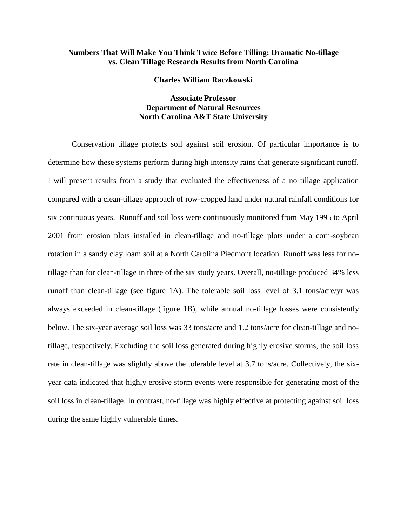## **Numbers That Will Make You Think Twice Before Tilling: Dramatic No-tillage vs. Clean Tillage Research Results from North Carolina**

**Charles William Raczkowski**

## **Associate Professor Department of Natural Resources North Carolina A&T State University**

Conservation tillage protects soil against soil erosion. Of particular importance is to determine how these systems perform during high intensity rains that generate significant runoff. I will present results from a study that evaluated the effectiveness of a no tillage application compared with a clean-tillage approach of row-cropped land under natural rainfall conditions for six continuous years. Runoff and soil loss were continuously monitored from May 1995 to April 2001 from erosion plots installed in clean-tillage and no-tillage plots under a corn-soybean rotation in a sandy clay loam soil at a North Carolina Piedmont location. Runoff was less for notillage than for clean-tillage in three of the six study years. Overall, no-tillage produced 34% less runoff than clean-tillage (see figure 1A). The tolerable soil loss level of 3.1 tons/acre/yr was always exceeded in clean-tillage (figure 1B), while annual no-tillage losses were consistently below. The six-year average soil loss was 33 tons/acre and 1.2 tons/acre for clean-tillage and notillage, respectively. Excluding the soil loss generated during highly erosive storms, the soil loss rate in clean-tillage was slightly above the tolerable level at 3.7 tons/acre. Collectively, the sixyear data indicated that highly erosive storm events were responsible for generating most of the soil loss in clean-tillage. In contrast, no-tillage was highly effective at protecting against soil loss during the same highly vulnerable times.